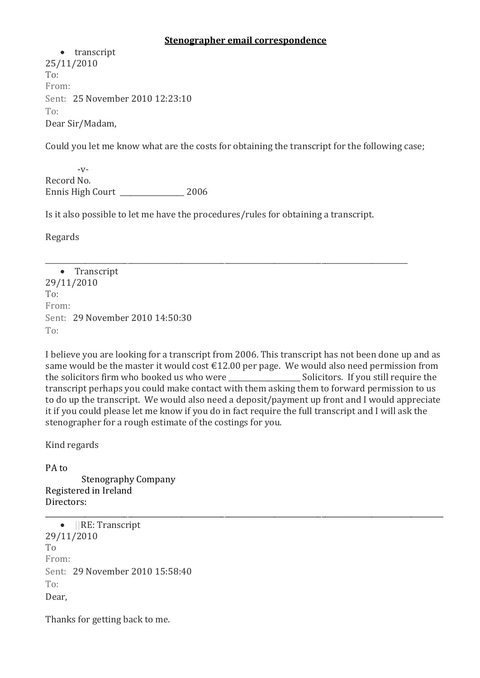### **Stenographer email correspondence**

• transcript 25/11/2010 To: From: Sent: 25 November 2010 12:23:10 To: Dear Sir/Madam,

Could you let me know what are the costs for obtaining the transcript for the following case;

 $-V$ -Record No. Ennis High Court \_\_\_\_\_\_\_\_\_\_\_\_\_\_\_\_\_\_ 2006

Is it also possible to let me have the procedures/rules for obtaining a transcript.

Regards

\_\_\_\_\_\_\_\_\_\_\_\_\_\_\_\_\_\_\_\_\_\_\_\_\_\_\_\_\_\_\_\_\_\_\_\_\_\_\_\_\_\_\_\_\_\_\_\_\_\_\_\_\_\_\_\_\_\_\_\_\_\_\_\_\_\_\_\_\_\_\_\_\_\_\_\_\_\_\_\_\_\_\_\_\_\_\_\_\_\_\_\_\_\_\_\_\_\_\_\_\_ • Transcript 29/11/2010 To: From: Sent: 29 November 2010 14:50:30 To:

I believe you are looking for a transcript from 2006. This transcript has not been done up and as same would be the master it would cost  $\epsilon$ 12.00 per page. We would also need permission from the solicitors firm who booked us who were <br>Solicitors. If you still require the transcript perhaps you could make contact with them asking them to forward permission to us to do up the transcript. We would also need a deposit/payment up front and I would appreciate it if you could please let me know if you do in fact require the full transcript and I will ask the stenographer for a rough estimate of the costings for you.

\_\_\_\_\_\_\_\_\_\_\_\_\_\_\_\_\_\_\_\_\_\_\_\_\_\_\_\_\_\_\_\_\_\_\_\_\_\_\_\_\_\_\_\_\_\_\_\_\_\_\_\_\_\_\_\_\_\_\_\_\_\_\_\_\_\_\_\_\_\_\_\_\_\_\_\_\_\_\_\_\_\_\_\_\_\_\_\_\_\_\_\_\_\_\_\_\_\_\_\_\_\_\_\_\_\_\_\_\_\_\_

Kind regards

PA to

 Stenography Company Registered in Ireland Directors:

• ||RE: Transcript 29/11/2010 To From: Sent: 29 November 2010 15:58:40 To: Dear,

Thanks for getting back to me.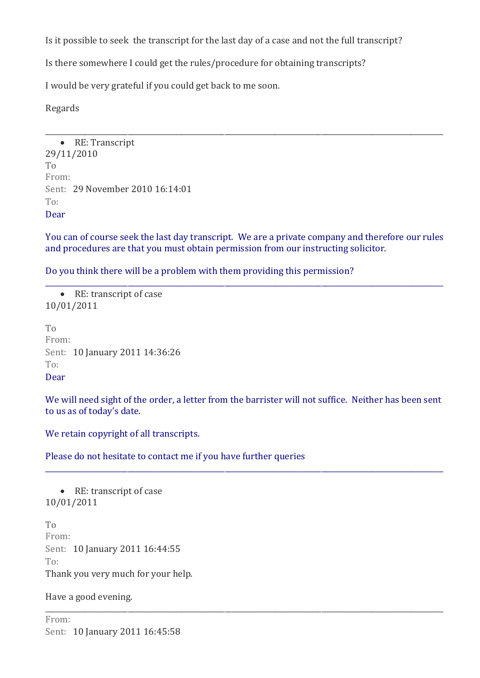Is it possible to seek the transcript for the last day of a case and not the full transcript?

Is there somewhere I could get the rules/procedure for obtaining transcripts?

I would be very grateful if you could get back to me soon.

Regards

• RE: Transcript 29/11/2010 To From: Sent: 29 November 2010 16:14:01  $T_0$ . Dear

You can of course seek the last day transcript. We are a private company and therefore our rules and procedures are that you must obtain permission from our instructing solicitor.

\_\_\_\_\_\_\_\_\_\_\_\_\_\_\_\_\_\_\_\_\_\_\_\_\_\_\_\_\_\_\_\_\_\_\_\_\_\_\_\_\_\_\_\_\_\_\_\_\_\_\_\_\_\_\_\_\_\_\_\_\_\_\_\_\_\_\_\_\_\_\_\_\_\_\_\_\_\_\_\_\_\_\_\_\_\_\_\_\_\_\_\_\_\_\_\_\_\_\_\_\_\_\_\_\_\_\_\_\_\_\_

\_\_\_\_\_\_\_\_\_\_\_\_\_\_\_\_\_\_\_\_\_\_\_\_\_\_\_\_\_\_\_\_\_\_\_\_\_\_\_\_\_\_\_\_\_\_\_\_\_\_\_\_\_\_\_\_\_\_\_\_\_\_\_\_\_\_\_\_\_\_\_\_\_\_\_\_\_\_\_\_\_\_\_\_\_\_\_\_\_\_\_\_\_\_\_\_\_\_\_\_\_\_\_\_\_\_\_\_\_\_\_

Do you think there will be a problem with them providing this permission?

 RE: transcript of case 10/01/2011

To From: Sent: 10 January 2011 14:36:26  $T_0$ . Dear

We will need sight of the order, a letter from the barrister will not suffice. Neither has been sent to us as of today's date.

\_\_\_\_\_\_\_\_\_\_\_\_\_\_\_\_\_\_\_\_\_\_\_\_\_\_\_\_\_\_\_\_\_\_\_\_\_\_\_\_\_\_\_\_\_\_\_\_\_\_\_\_\_\_\_\_\_\_\_\_\_\_\_\_\_\_\_\_\_\_\_\_\_\_\_\_\_\_\_\_\_\_\_\_\_\_\_\_\_\_\_\_\_\_\_\_\_\_\_\_\_\_\_\_\_\_\_\_\_\_\_

\_\_\_\_\_\_\_\_\_\_\_\_\_\_\_\_\_\_\_\_\_\_\_\_\_\_\_\_\_\_\_\_\_\_\_\_\_\_\_\_\_\_\_\_\_\_\_\_\_\_\_\_\_\_\_\_\_\_\_\_\_\_\_\_\_\_\_\_\_\_\_\_\_\_\_\_\_\_\_\_\_\_\_\_\_\_\_\_\_\_\_\_\_\_\_\_\_\_\_\_\_\_\_\_\_\_\_\_\_\_\_

We retain copyright of all transcripts.

Please do not hesitate to contact me if you have further queries

• RE: transcript of case 10/01/2011 To From: Sent: 10 January 2011 16:44:55 To: Thank you very much for your help.

Have a good evening.

From: Sent: 10 January 2011 16:45:58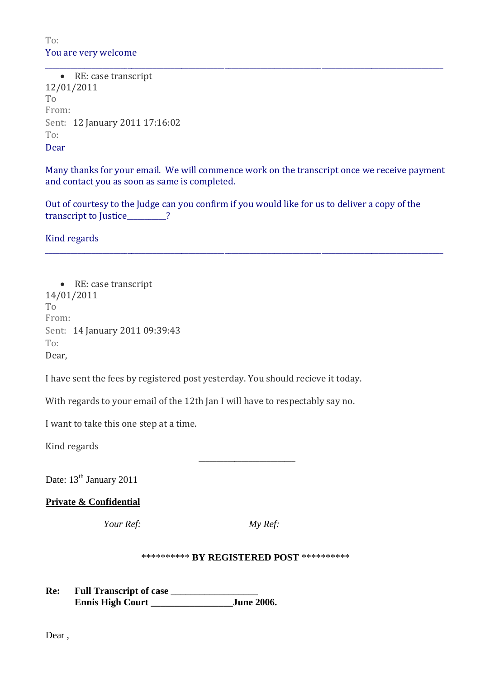# To: You are very welcome

• RE: case transcript 12/01/2011 To From: Sent: 12 January 2011 17:16:02 To: Dear

Many thanks for your email. We will commence work on the transcript once we receive payment and contact you as soon as same is completed.

\_\_\_\_\_\_\_\_\_\_\_\_\_\_\_\_\_\_\_\_\_\_\_\_\_\_\_\_\_\_\_\_\_\_\_\_\_\_\_\_\_\_\_\_\_\_\_\_\_\_\_\_\_\_\_\_\_\_\_\_\_\_\_\_\_\_\_\_\_\_\_\_\_\_\_\_\_\_\_\_\_\_\_\_\_\_\_\_\_\_\_\_\_\_\_\_\_\_\_\_\_\_\_\_\_\_\_\_\_\_\_

\_\_\_\_\_\_\_\_\_\_\_\_\_\_\_\_\_\_\_\_\_\_\_\_\_\_\_\_\_\_\_\_\_\_\_\_\_\_\_\_\_\_\_\_\_\_\_\_\_\_\_\_\_\_\_\_\_\_\_\_\_\_\_\_\_\_\_\_\_\_\_\_\_\_\_\_\_\_\_\_\_\_\_\_\_\_\_\_\_\_\_\_\_\_\_\_\_\_\_\_\_\_\_\_\_\_\_\_\_\_\_

Out of courtesy to the Judge can you confirm if you would like for us to deliver a copy of the transcript to Justice 2

Kind regards

• RE: case transcript 14/01/2011 To From: Sent: 14 January 2011 09:39:43 To: Dear,

I have sent the fees by registered post yesterday. You should recieve it today.

With regards to your email of the 12th Jan I will have to respectably say no.

I want to take this one step at a time.

Kind regards

Date: 13<sup>th</sup> January 2011

#### **Private & Confidential**

*Your Ref: My Ref:*

|  |  | *********** BY REGISTERED POST *********** |  |  |
|--|--|--------------------------------------------|--|--|
|--|--|--------------------------------------------|--|--|

**Re: Full Transcript of case \_\_\_\_\_\_\_\_\_\_\_\_\_\_\_\_\_\_ Ennis High Court \_\_\_\_\_\_\_\_\_\_\_\_\_\_\_\_\_June 2006.**

 $\overline{\phantom{a}}$  , and the contract of the contract of the contract of the contract of the contract of the contract of the contract of the contract of the contract of the contract of the contract of the contract of the contrac

Dear ,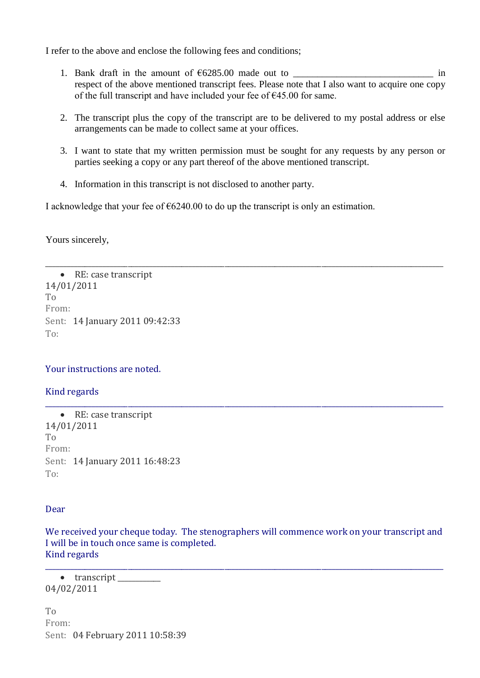I refer to the above and enclose the following fees and conditions;

- 1. Bank draft in the amount of €6285.00 made out to \_\_\_\_\_\_\_\_\_\_\_\_\_\_\_\_\_\_\_\_\_\_\_\_\_\_\_\_\_ in respect of the above mentioned transcript fees. Please note that I also want to acquire one copy of the full transcript and have included your fee of €45.00 for same.
- 2. The transcript plus the copy of the transcript are to be delivered to my postal address or else arrangements can be made to collect same at your offices.
- 3. I want to state that my written permission must be sought for any requests by any person or parties seeking a copy or any part thereof of the above mentioned transcript.

\_\_\_\_\_\_\_\_\_\_\_\_\_\_\_\_\_\_\_\_\_\_\_\_\_\_\_\_\_\_\_\_\_\_\_\_\_\_\_\_\_\_\_\_\_\_\_\_\_\_\_\_\_\_\_\_\_\_\_\_\_\_\_\_\_\_\_\_\_\_\_\_\_\_\_\_\_\_\_\_\_\_\_\_\_\_\_\_\_\_\_\_\_\_\_\_\_\_\_\_\_\_\_\_\_\_\_\_\_\_\_

\_\_\_\_\_\_\_\_\_\_\_\_\_\_\_\_\_\_\_\_\_\_\_\_\_\_\_\_\_\_\_\_\_\_\_\_\_\_\_\_\_\_\_\_\_\_\_\_\_\_\_\_\_\_\_\_\_\_\_\_\_\_\_\_\_\_\_\_\_\_\_\_\_\_\_\_\_\_\_\_\_\_\_\_\_\_\_\_\_\_\_\_\_\_\_\_\_\_\_\_\_\_\_\_\_\_\_\_\_\_\_

4. Information in this transcript is not disclosed to another party.

I acknowledge that your fee of  $6240.00$  to do up the transcript is only an estimation.

Yours sincerely,

• RE: case transcript 14/01/2011 To From: Sent: 14 January 2011 09:42:33 To:

Your instructions are noted.

Kind regards

• RE: case transcript 14/01/2011 To From: Sent: 14 January 2011 16:48:23 To:

#### Dear

We received your cheque today. The stenographers will commence work on your transcript and I will be in touch once same is completed. Kind regards

\_\_\_\_\_\_\_\_\_\_\_\_\_\_\_\_\_\_\_\_\_\_\_\_\_\_\_\_\_\_\_\_\_\_\_\_\_\_\_\_\_\_\_\_\_\_\_\_\_\_\_\_\_\_\_\_\_\_\_\_\_\_\_\_\_\_\_\_\_\_\_\_\_\_\_\_\_\_\_\_\_\_\_\_\_\_\_\_\_\_\_\_\_\_\_\_\_\_\_\_\_\_\_\_\_\_\_\_\_\_\_

• transcript 04/02/2011

To From: Sent: 04 February 2011 10:58:39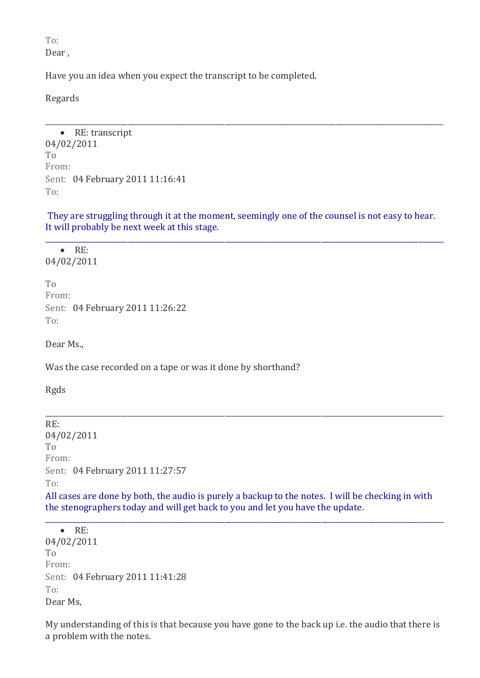To:

Dear ,

Have you an idea when you expect the transcript to be completed.

Regards

• RE: transcript 04/02/2011 To From: Sent: 04 February 2011 11:16:41 To:

They are struggling through it at the moment, seemingly one of the counsel is not easy to hear. It will probably be next week at this stage.

\_\_\_\_\_\_\_\_\_\_\_\_\_\_\_\_\_\_\_\_\_\_\_\_\_\_\_\_\_\_\_\_\_\_\_\_\_\_\_\_\_\_\_\_\_\_\_\_\_\_\_\_\_\_\_\_\_\_\_\_\_\_\_\_\_\_\_\_\_\_\_\_\_\_\_\_\_\_\_\_\_\_\_\_\_\_\_\_\_\_\_\_\_\_\_\_\_\_\_\_\_\_\_\_\_\_\_\_\_\_\_

\_\_\_\_\_\_\_\_\_\_\_\_\_\_\_\_\_\_\_\_\_\_\_\_\_\_\_\_\_\_\_\_\_\_\_\_\_\_\_\_\_\_\_\_\_\_\_\_\_\_\_\_\_\_\_\_\_\_\_\_\_\_\_\_\_\_\_\_\_\_\_\_\_\_\_\_\_\_\_\_\_\_\_\_\_\_\_\_\_\_\_\_\_\_\_\_\_\_\_\_\_\_\_\_\_\_\_\_\_\_\_

 $\bullet$  RE: 04/02/2011

To From: Sent: 04 February 2011 11:26:22 To:

Dear Ms.,

Was the case recorded on a tape or was it done by shorthand?

Rgds

RE: 04/02/2011  $T_{\Omega}$ From: Sent: 04 February 2011 11:27:57 To:

All cases are done by both, the audio is purely a backup to the notes. I will be checking in with the stenographers today and will get back to you and let you have the update.

\_\_\_\_\_\_\_\_\_\_\_\_\_\_\_\_\_\_\_\_\_\_\_\_\_\_\_\_\_\_\_\_\_\_\_\_\_\_\_\_\_\_\_\_\_\_\_\_\_\_\_\_\_\_\_\_\_\_\_\_\_\_\_\_\_\_\_\_\_\_\_\_\_\_\_\_\_\_\_\_\_\_\_\_\_\_\_\_\_\_\_\_\_\_\_\_\_\_\_\_\_\_\_\_\_\_\_\_\_\_\_

\_\_\_\_\_\_\_\_\_\_\_\_\_\_\_\_\_\_\_\_\_\_\_\_\_\_\_\_\_\_\_\_\_\_\_\_\_\_\_\_\_\_\_\_\_\_\_\_\_\_\_\_\_\_\_\_\_\_\_\_\_\_\_\_\_\_\_\_\_\_\_\_\_\_\_\_\_\_\_\_\_\_\_\_\_\_\_\_\_\_\_\_\_\_\_\_\_\_\_\_\_\_\_\_\_\_\_\_\_\_\_

 RE: 04/02/2011 To From: Sent: 04 February 2011 11:41:28 To: Dear Ms,

My understanding of this is that because you have gone to the back up i.e. the audio that there is a problem with the notes.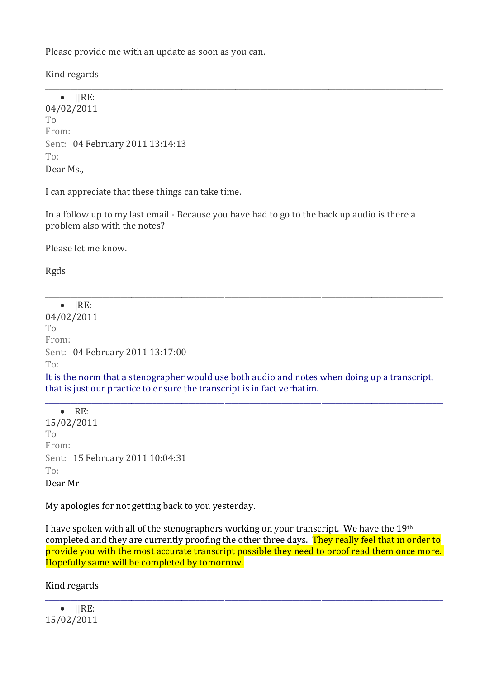Please provide me with an update as soon as you can.

Kind regards

 $\bullet$  ||RE: 04/02/2011 To From: Sent: 04 February 2011 13:14:13 To: Dear Ms.,

I can appreciate that these things can take time.

In a follow up to my last email - Because you have had to go to the back up audio is there a problem also with the notes?

\_\_\_\_\_\_\_\_\_\_\_\_\_\_\_\_\_\_\_\_\_\_\_\_\_\_\_\_\_\_\_\_\_\_\_\_\_\_\_\_\_\_\_\_\_\_\_\_\_\_\_\_\_\_\_\_\_\_\_\_\_\_\_\_\_\_\_\_\_\_\_\_\_\_\_\_\_\_\_\_\_\_\_\_\_\_\_\_\_\_\_\_\_\_\_\_\_\_\_\_\_\_\_\_\_\_\_\_\_\_\_

Please let me know.

Rgds

 $\bullet$   $|RE$ 04/02/2011 To From: Sent: 04 February 2011 13:17:00  $T\Omega$ 

It is the norm that a stenographer would use both audio and notes when doing up a transcript, that is just our practice to ensure the transcript is in fact verbatim.

\_\_\_\_\_\_\_\_\_\_\_\_\_\_\_\_\_\_\_\_\_\_\_\_\_\_\_\_\_\_\_\_\_\_\_\_\_\_\_\_\_\_\_\_\_\_\_\_\_\_\_\_\_\_\_\_\_\_\_\_\_\_\_\_\_\_\_\_\_\_\_\_\_\_\_\_\_\_\_\_\_\_\_\_\_\_\_\_\_\_\_\_\_\_\_\_\_\_\_\_\_\_\_\_\_\_\_\_\_\_\_

\_\_\_\_\_\_\_\_\_\_\_\_\_\_\_\_\_\_\_\_\_\_\_\_\_\_\_\_\_\_\_\_\_\_\_\_\_\_\_\_\_\_\_\_\_\_\_\_\_\_\_\_\_\_\_\_\_\_\_\_\_\_\_\_\_\_\_\_\_\_\_\_\_\_\_\_\_\_\_\_\_\_\_\_\_\_\_\_\_\_\_\_\_\_\_\_\_\_\_\_\_\_\_\_\_\_\_\_\_\_\_

 $\bullet$  RE: 15/02/2011 To From: Sent: 15 February 2011 10:04:31 To: Dear Mr

My apologies for not getting back to you yesterday.

I have spoken with all of the stenographers working on your transcript. We have the 19th completed and they are currently proofing the other three days. They really feel that in order to provide you with the most accurate transcript possible they need to proof read them once more. Hopefully same will be completed by tomorrow.

\_\_\_\_\_\_\_\_\_\_\_\_\_\_\_\_\_\_\_\_\_\_\_\_\_\_\_\_\_\_\_\_\_\_\_\_\_\_\_\_\_\_\_\_\_\_\_\_\_\_\_\_\_\_\_\_\_\_\_\_\_\_\_\_\_\_\_\_\_\_\_\_\_\_\_\_\_\_\_\_\_\_\_\_\_\_\_\_\_\_\_\_\_\_\_\_\_\_\_\_\_\_\_\_\_\_\_\_\_\_\_

Kind regards

 $\bullet$  ||RE: 15/02/2011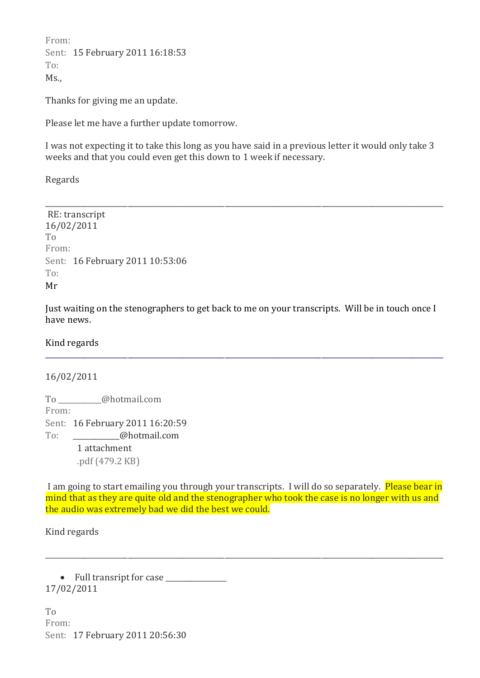From: Sent: 15 February 2011 16:18:53 To:  $Ms<sub>1</sub>$ 

Thanks for giving me an update.

Please let me have a further update tomorrow.

I was not expecting it to take this long as you have said in a previous letter it would only take 3 weeks and that you could even get this down to 1 week if necessary.

\_\_\_\_\_\_\_\_\_\_\_\_\_\_\_\_\_\_\_\_\_\_\_\_\_\_\_\_\_\_\_\_\_\_\_\_\_\_\_\_\_\_\_\_\_\_\_\_\_\_\_\_\_\_\_\_\_\_\_\_\_\_\_\_\_\_\_\_\_\_\_\_\_\_\_\_\_\_\_\_\_\_\_\_\_\_\_\_\_\_\_\_\_\_\_\_\_\_\_\_\_\_\_\_\_\_\_\_\_\_\_

Regards

RE: transcript 16/02/2011 To From: Sent: 16 February 2011 10:53:06 To: Mr

Just waiting on the stenographers to get back to me on your transcripts. Will be in touch once I have news.

\_\_\_\_\_\_\_\_\_\_\_\_\_\_\_\_\_\_\_\_\_\_\_\_\_\_\_\_\_\_\_\_\_\_\_\_\_\_\_\_\_\_\_\_\_\_\_\_\_\_\_\_\_\_\_\_\_\_\_\_\_\_\_\_\_\_\_\_\_\_\_\_\_\_\_\_\_\_\_\_\_\_\_\_\_\_\_\_\_\_\_\_\_\_\_\_\_\_\_\_\_\_\_\_\_\_\_\_\_\_\_

Kind regards

#### 16/02/2011

To \_\_\_\_\_\_\_\_\_\_\_\_@hotmail.com From: Sent: 16 February 2011 16:20:59 To: **@hotmail.com** 1 attachment

.pdf (479.2 KB)

I am going to start emailing you through your transcripts. I will do so separately. Please bear in mind that as they are quite old and the stenographer who took the case is no longer with us and the audio was extremely bad we did the best we could.

\_\_\_\_\_\_\_\_\_\_\_\_\_\_\_\_\_\_\_\_\_\_\_\_\_\_\_\_\_\_\_\_\_\_\_\_\_\_\_\_\_\_\_\_\_\_\_\_\_\_\_\_\_\_\_\_\_\_\_\_\_\_\_\_\_\_\_\_\_\_\_\_\_\_\_\_\_\_\_\_\_\_\_\_\_\_\_\_\_\_\_\_\_\_\_\_\_\_\_\_\_\_\_\_\_\_\_\_\_\_\_

Kind regards

• Full transript for case 17/02/2011

To From: Sent: 17 February 2011 20:56:30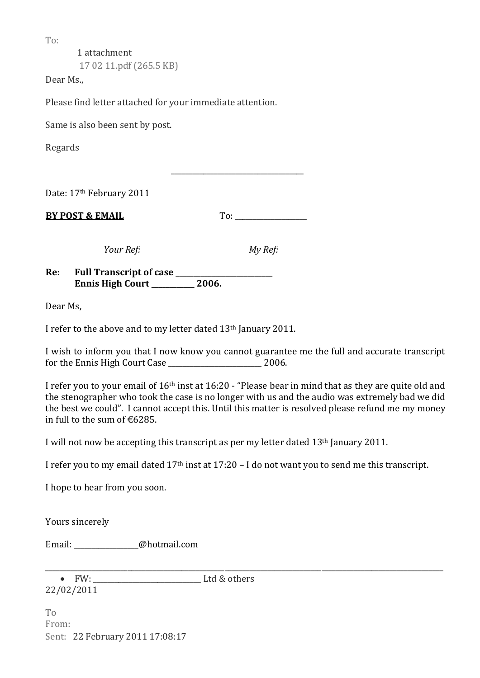To:

1 attachment 17 02 11.pdf (265.5 KB)

Dear Ms.,

Please find letter attached for your immediate attention.

Same is also been sent by post.

Regards

Date: 17th February 2011

**BY POST & EMAIL** To:

 $\overline{\phantom{a}}$  ,  $\overline{\phantom{a}}$  ,  $\overline{\phantom{a}}$  ,  $\overline{\phantom{a}}$  ,  $\overline{\phantom{a}}$  ,  $\overline{\phantom{a}}$  ,  $\overline{\phantom{a}}$  ,  $\overline{\phantom{a}}$  ,  $\overline{\phantom{a}}$  ,  $\overline{\phantom{a}}$  ,  $\overline{\phantom{a}}$  ,  $\overline{\phantom{a}}$  ,  $\overline{\phantom{a}}$  ,  $\overline{\phantom{a}}$  ,  $\overline{\phantom{a}}$  ,  $\overline{\phantom{a}}$ 

*Your Ref: My Ref:*

**Re: Full Transcript of case \_\_\_\_\_\_\_\_\_\_\_\_\_\_\_\_\_\_\_\_\_\_\_\_\_\_\_ Ennis High Court \_\_\_\_\_\_\_\_\_\_\_\_ 2006.**

Dear Ms,

I refer to the above and to my letter dated 13th January 2011.

I wish to inform you that I now know you cannot guarantee me the full and accurate transcript for the Ennis High Court Case \_\_\_\_\_\_\_\_\_\_\_\_\_\_\_\_\_\_\_\_\_\_\_\_\_\_ 2006.

I refer you to your email of 16th inst at 16:20 - "Please bear in mind that as they are quite old and the stenographer who took the case is no longer with us and the audio was extremely bad we did the best we could". I cannot accept this. Until this matter is resolved please refund me my money in full to the sum of €6285.

I will not now be accepting this transcript as per my letter dated 13th January 2011.

I refer you to my email dated 17th inst at 17:20 – I do not want you to send me this transcript.

I hope to hear from you soon.

Yours sincerely

Email: \_\_\_\_\_\_\_\_\_\_\_\_\_\_\_\_\_\_@hotmail.com

\_\_\_\_\_\_\_\_\_\_\_\_\_\_\_\_\_\_\_\_\_\_\_\_\_\_\_\_\_\_\_\_\_\_\_\_\_\_\_\_\_\_\_\_\_\_\_\_\_\_\_\_\_\_\_\_\_\_\_\_\_\_\_\_\_\_\_\_\_\_\_\_\_\_\_\_\_\_\_\_\_\_\_\_\_\_\_\_\_\_\_\_\_\_\_\_\_\_\_\_\_\_\_\_\_\_\_\_\_\_\_ FW: \_\_\_\_\_\_\_\_\_\_\_\_\_\_\_\_\_\_\_\_\_\_\_\_\_\_\_\_\_\_ Ltd & others 22/02/2011

To From: Sent: 22 February 2011 17:08:17